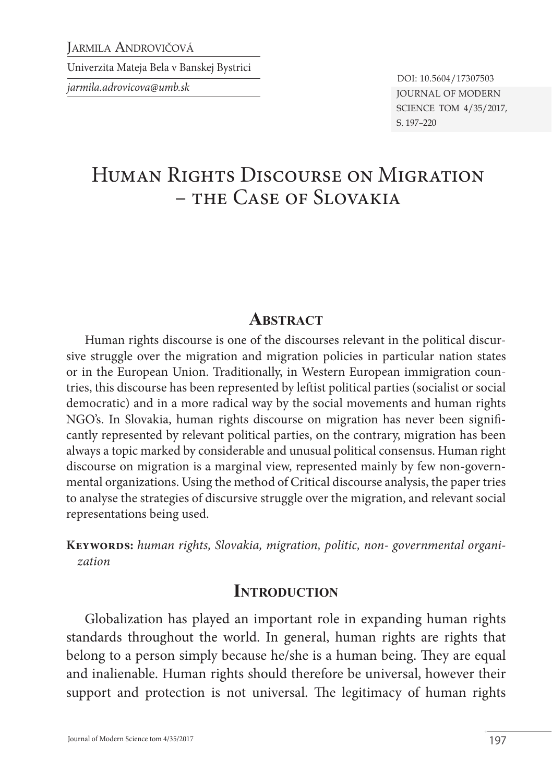Jarmila Androvičová

Univerzita Mateja Bela v Banskej Bystrici

*jarmila.adrovicova@umb.sk* Journal of Modern Science tom 4/35/2017, s. 197–220 DOI: 10.5604/17307503

# Human Rights Discourse on Migration – the Case of Slovakia

#### **ABSTRACT**

Human rights discourse is one of the discourses relevant in the political discursive struggle over the migration and migration policies in particular nation states or in the European Union. Traditionally, in Western European immigration countries, this discourse has been represented by leftist political parties (socialist or social democratic) and in a more radical way by the social movements and human rights NGO's. In Slovakia, human rights discourse on migration has never been significantly represented by relevant political parties, on the contrary, migration has been always a topic marked by considerable and unusual political consensus. Human right discourse on migration is a marginal view, represented mainly by few non-governmental organizations. Using the method of Critical discourse analysis, the paper tries to analyse the strategies of discursive struggle over the migration, and relevant social representations being used.

**Keywords:** *human rights, Slovakia, migration, politic, non- governmental organization*

#### **INTRODUCTION**

Globalization has played an important role in expanding human rights standards throughout the world. In general, human rights are rights that belong to a person simply because he/she is a human being. They are equal and inalienable. Human rights should therefore be universal, however their support and protection is not universal. The legitimacy of human rights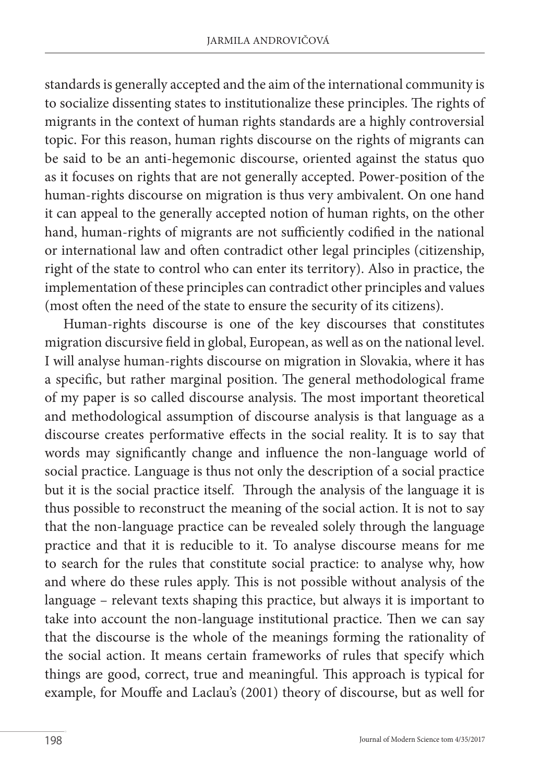standards is generally accepted and the aim of the international community is to socialize dissenting states to institutionalize these principles. The rights of migrants in the context of human rights standards are a highly controversial topic. For this reason, human rights discourse on the rights of migrants can be said to be an anti-hegemonic discourse, oriented against the status quo as it focuses on rights that are not generally accepted. Power-position of the human-rights discourse on migration is thus very ambivalent. On one hand it can appeal to the generally accepted notion of human rights, on the other hand, human-rights of migrants are not sufficiently codified in the national or international law and often contradict other legal principles (citizenship, right of the state to control who can enter its territory). Also in practice, the implementation of these principles can contradict other principles and values (most often the need of the state to ensure the security of its citizens).

Human-rights discourse is one of the key discourses that constitutes migration discursive field in global, European, as well as on the national level. I will analyse human-rights discourse on migration in Slovakia, where it has a specific, but rather marginal position. The general methodological frame of my paper is so called discourse analysis. The most important theoretical and methodological assumption of discourse analysis is that language as a discourse creates performative effects in the social reality. It is to say that words may significantly change and influence the non-language world of social practice. Language is thus not only the description of a social practice but it is the social practice itself. Through the analysis of the language it is thus possible to reconstruct the meaning of the social action. It is not to say that the non-language practice can be revealed solely through the language practice and that it is reducible to it. To analyse discourse means for me to search for the rules that constitute social practice: to analyse why, how and where do these rules apply. This is not possible without analysis of the language – relevant texts shaping this practice, but always it is important to take into account the non-language institutional practice. Then we can say that the discourse is the whole of the meanings forming the rationality of the social action. It means certain frameworks of rules that specify which things are good, correct, true and meaningful. This approach is typical for example, for Mouffe and Laclau's (2001) theory of discourse, but as well for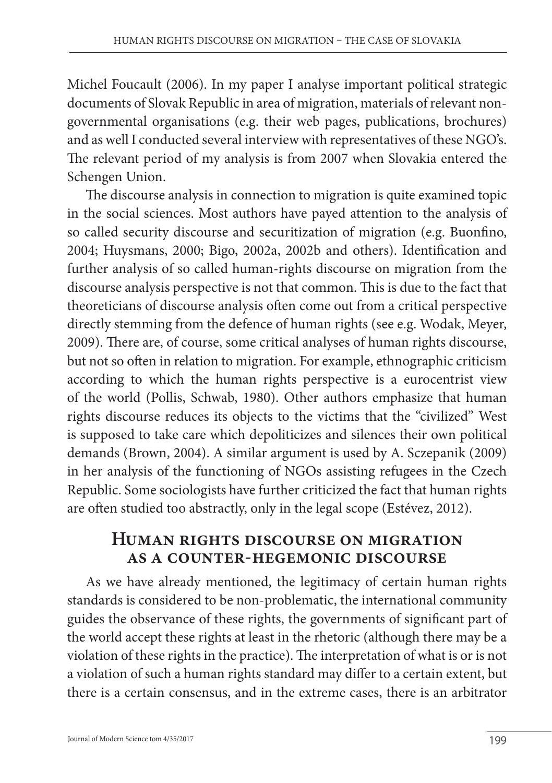Michel Foucault (2006). In my paper I analyse important political strategic documents of Slovak Republic in area of migration, materials of relevant nongovernmental organisations (e.g. their web pages, publications, brochures) and as well I conducted several interview with representatives of these NGO's. The relevant period of my analysis is from 2007 when Slovakia entered the Schengen Union.

The discourse analysis in connection to migration is quite examined topic in the social sciences. Most authors have payed attention to the analysis of so called security discourse and securitization of migration (e.g. Buonfino, 2004; Huysmans, 2000; Bigo, 2002a, 2002b and others). Identification and further analysis of so called human-rights discourse on migration from the discourse analysis perspective is not that common. This is due to the fact that theoreticians of discourse analysis often come out from a critical perspective directly stemming from the defence of human rights (see e.g. Wodak, Meyer, 2009). There are, of course, some critical analyses of human rights discourse, but not so often in relation to migration. For example, ethnographic criticism according to which the human rights perspective is a eurocentrist view of the world (Pollis, Schwab, 1980). Other authors emphasize that human rights discourse reduces its objects to the victims that the "civilized" West is supposed to take care which depoliticizes and silences their own political demands (Brown, 2004). A similar argument is used by A. Sczepanik (2009) in her analysis of the functioning of NGOs assisting refugees in the Czech Republic. Some sociologists have further criticized the fact that human rights are often studied too abstractly, only in the legal scope (Estévez, 2012).

### **Human rights discourse on migration as a counter-hegemonic discourse**

As we have already mentioned, the legitimacy of certain human rights standards is considered to be non-problematic, the international community guides the observance of these rights, the governments of significant part of the world accept these rights at least in the rhetoric (although there may be a violation of these rights in the practice). The interpretation of what is or is not a violation of such a human rights standard may differ to a certain extent, but there is a certain consensus, and in the extreme cases, there is an arbitrator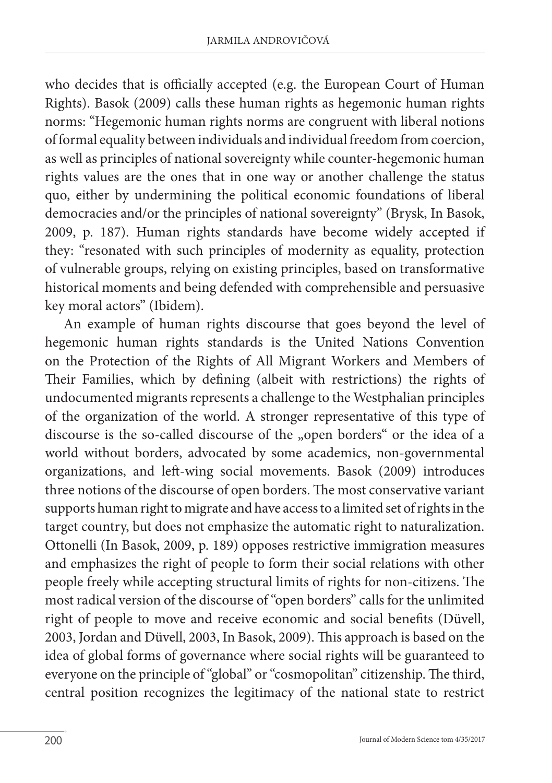who decides that is officially accepted (e.g. the European Court of Human Rights). Basok (2009) calls these human rights as hegemonic human rights norms: "Hegemonic human rights norms are congruent with liberal notions of formal equality between individuals and individual freedom from coercion, as well as principles of national sovereignty while counter-hegemonic human rights values are the ones that in one way or another challenge the status quo, either by undermining the political economic foundations of liberal democracies and/or the principles of national sovereignty" (Brysk, In Basok, 2009, p. 187). Human rights standards have become widely accepted if they: "resonated with such principles of modernity as equality, protection of vulnerable groups, relying on existing principles, based on transformative historical moments and being defended with comprehensible and persuasive key moral actors" (Ibidem).

An example of human rights discourse that goes beyond the level of hegemonic human rights standards is the United Nations Convention on the Protection of the Rights of All Migrant Workers and Members of Their Families, which by defining (albeit with restrictions) the rights of undocumented migrants represents a challenge to the Westphalian principles of the organization of the world. A stronger representative of this type of discourse is the so-called discourse of the "open borders" or the idea of a world without borders, advocated by some academics, non-governmental organizations, and left-wing social movements. Basok (2009) introduces three notions of the discourse of open borders. The most conservative variant supports human right to migrate and have access to a limited set of rights in the target country, but does not emphasize the automatic right to naturalization. Ottonelli (In Basok, 2009, p. 189) opposes restrictive immigration measures and emphasizes the right of people to form their social relations with other people freely while accepting structural limits of rights for non-citizens. The most radical version of the discourse of "open borders" calls for the unlimited right of people to move and receive economic and social benefits (Düvell, 2003, Jordan and Düvell, 2003, In Basok, 2009). This approach is based on the idea of global forms of governance where social rights will be guaranteed to everyone on the principle of "global" or "cosmopolitan" citizenship. The third, central position recognizes the legitimacy of the national state to restrict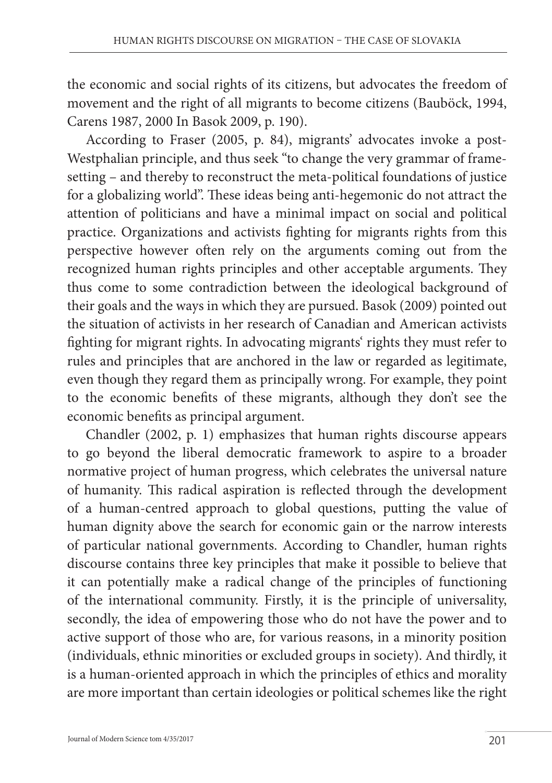the economic and social rights of its citizens, but advocates the freedom of movement and the right of all migrants to become citizens (Bauböck, 1994, Carens 1987, 2000 In Basok 2009, p. 190).

According to Fraser (2005, p. 84), migrants' advocates invoke a post-Westphalian principle, and thus seek "to change the very grammar of framesetting – and thereby to reconstruct the meta-political foundations of justice for a globalizing world". These ideas being anti-hegemonic do not attract the attention of politicians and have a minimal impact on social and political practice. Organizations and activists fighting for migrants rights from this perspective however often rely on the arguments coming out from the recognized human rights principles and other acceptable arguments. They thus come to some contradiction between the ideological background of their goals and the ways in which they are pursued. Basok (2009) pointed out the situation of activists in her research of Canadian and American activists fighting for migrant rights. In advocating migrants' rights they must refer to rules and principles that are anchored in the law or regarded as legitimate, even though they regard them as principally wrong. For example, they point to the economic benefits of these migrants, although they don't see the economic benefits as principal argument.

Chandler (2002, p. 1) emphasizes that human rights discourse appears to go beyond the liberal democratic framework to aspire to a broader normative project of human progress, which celebrates the universal nature of humanity. This radical aspiration is reflected through the development of a human-centred approach to global questions, putting the value of human dignity above the search for economic gain or the narrow interests of particular national governments. According to Chandler, human rights discourse contains three key principles that make it possible to believe that it can potentially make a radical change of the principles of functioning of the international community. Firstly, it is the principle of universality, secondly, the idea of empowering those who do not have the power and to active support of those who are, for various reasons, in a minority position (individuals, ethnic minorities or excluded groups in society). And thirdly, it is a human-oriented approach in which the principles of ethics and morality are more important than certain ideologies or political schemes like the right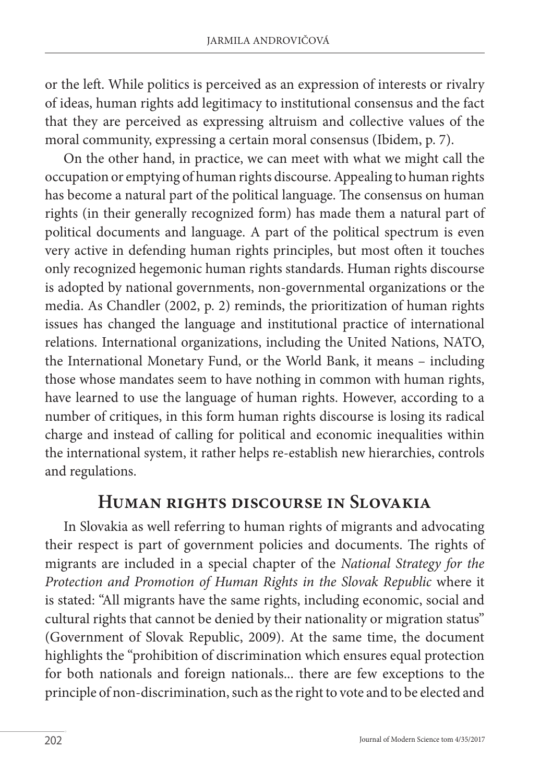or the left. While politics is perceived as an expression of interests or rivalry of ideas, human rights add legitimacy to institutional consensus and the fact that they are perceived as expressing altruism and collective values of the moral community, expressing a certain moral consensus (Ibidem, p. 7).

On the other hand, in practice, we can meet with what we might call the occupation or emptying of human rights discourse. Appealing to human rights has become a natural part of the political language. The consensus on human rights (in their generally recognized form) has made them a natural part of political documents and language. A part of the political spectrum is even very active in defending human rights principles, but most often it touches only recognized hegemonic human rights standards. Human rights discourse is adopted by national governments, non-governmental organizations or the media. As Chandler (2002, p. 2) reminds, the prioritization of human rights issues has changed the language and institutional practice of international relations. International organizations, including the United Nations, NATO, the International Monetary Fund, or the World Bank, it means – including those whose mandates seem to have nothing in common with human rights, have learned to use the language of human rights. However, according to a number of critiques, in this form human rights discourse is losing its radical charge and instead of calling for political and economic inequalities within the international system, it rather helps re-establish new hierarchies, controls and regulations.

### **Human rights discourse in Slovakia**

In Slovakia as well referring to human rights of migrants and advocating their respect is part of government policies and documents. The rights of migrants are included in a special chapter of the *National Strategy for the Protection and Promotion of Human Rights in the Slovak Republic* where it is stated: "All migrants have the same rights, including economic, social and cultural rights that cannot be denied by their nationality or migration status" (Government of Slovak Republic, 2009). At the same time, the document highlights the "prohibition of discrimination which ensures equal protection for both nationals and foreign nationals... there are few exceptions to the principle of non-discrimination, such as the right to vote and to be elected and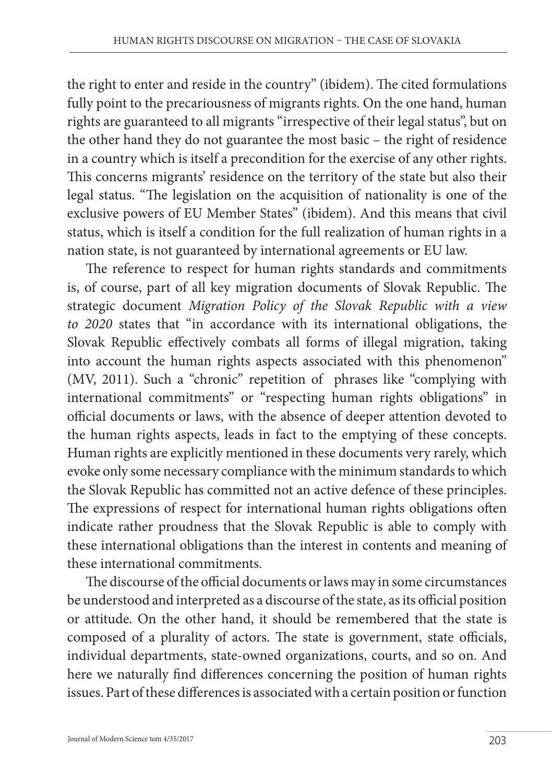the right to enter and reside in the country" (ibidem). The cited formulations fully point to the precariousness of migrants rights. On the one hand, human rights are guaranteed to all migrants "irrespective of their legal status", but on the other hand they do not guarantee the most basic – the right of residence in a country which is itself a precondition for the exercise of any other rights. This concerns migrants' residence on the territory of the state but also their legal status. "The legislation on the acquisition of nationality is one of the exclusive powers of EU Member States" (ibidem). And this means that civil status, which is itself a condition for the full realization of human rights in a nation state, is not guaranteed by international agreements or EU law.

The reference to respect for human rights standards and commitments is, of course, part of all key migration documents of Slovak Republic. The strategic document *Migration Policy of the Slovak Republic with a view to 2020* states that "in accordance with its international obligations, the Slovak Republic effectively combats all forms of illegal migration, taking into account the human rights aspects associated with this phenomenon" (MV, 2011). Such a "chronic" repetition of phrases like "complying with international commitments" or "respecting human rights obligations" in official documents or laws, with the absence of deeper attention devoted to the human rights aspects, leads in fact to the emptying of these concepts. Human rights are explicitly mentioned in these documents very rarely, which evoke only some necessary compliance with the minimum standards to which the Slovak Republic has committed not an active defence of these principles. The expressions of respect for international human rights obligations often indicate rather proudness that the Slovak Republic is able to comply with these international obligations than the interest in contents and meaning of these international commitments.

The discourse of the official documents or laws may in some circumstances be understood and interpreted as a discourse of the state, as its official position or attitude. On the other hand, it should be remembered that the state is composed of a plurality of actors. The state is government, state officials, individual departments, state-owned organizations, courts, and so on. And here we naturally find differences concerning the position of human rights issues. Part of these differences is associated with a certain position or function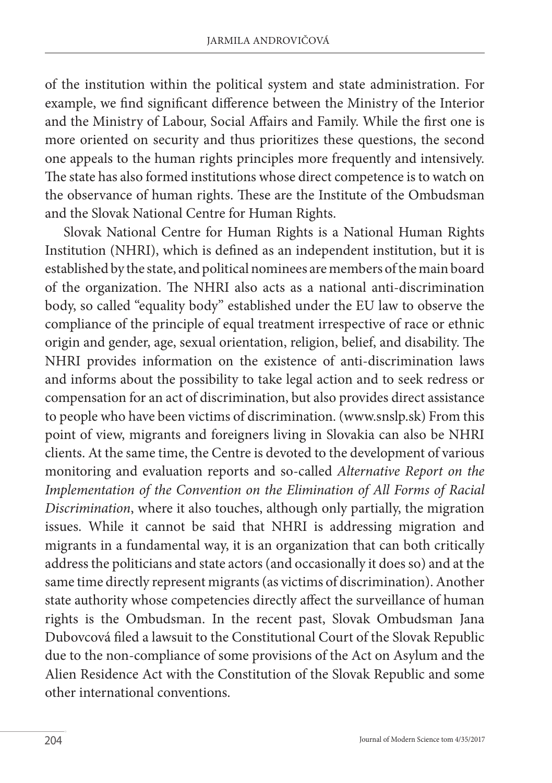of the institution within the political system and state administration. For example, we find significant difference between the Ministry of the Interior and the Ministry of Labour, Social Affairs and Family. While the first one is more oriented on security and thus prioritizes these questions, the second one appeals to the human rights principles more frequently and intensively. The state has also formed institutions whose direct competence is to watch on the observance of human rights. These are the Institute of the Ombudsman and the Slovak National Centre for Human Rights.

Slovak National Centre for Human Rights is a National Human Rights Institution (NHRI), which is defined as an independent institution, but it is established by the state, and political nominees are members of the main board of the organization. The NHRI also acts as a national anti-discrimination body, so called "equality body" established under the EU law to observe the compliance of the principle of equal treatment irrespective of race or ethnic origin and gender, age, sexual orientation, religion, belief, and disability. The NHRI provides information on the existence of anti-discrimination laws and informs about the possibility to take legal action and to seek redress or compensation for an act of discrimination, but also provides direct assistance to people who have been victims of discrimination. (www.snslp.sk) From this point of view, migrants and foreigners living in Slovakia can also be NHRI clients. At the same time, the Centre is devoted to the development of various monitoring and evaluation reports and so-called *Alternative Report on the Implementation of the Convention on the Elimination of All Forms of Racial Discrimination*, where it also touches, although only partially, the migration issues. While it cannot be said that NHRI is addressing migration and migrants in a fundamental way, it is an organization that can both critically address the politicians and state actors (and occasionally it does so) and at the same time directly represent migrants (as victims of discrimination). Another state authority whose competencies directly affect the surveillance of human rights is the Ombudsman. In the recent past, Slovak Ombudsman Jana Dubovcová filed a lawsuit to the Constitutional Court of the Slovak Republic due to the non-compliance of some provisions of the Act on Asylum and the Alien Residence Act with the Constitution of the Slovak Republic and some other international conventions.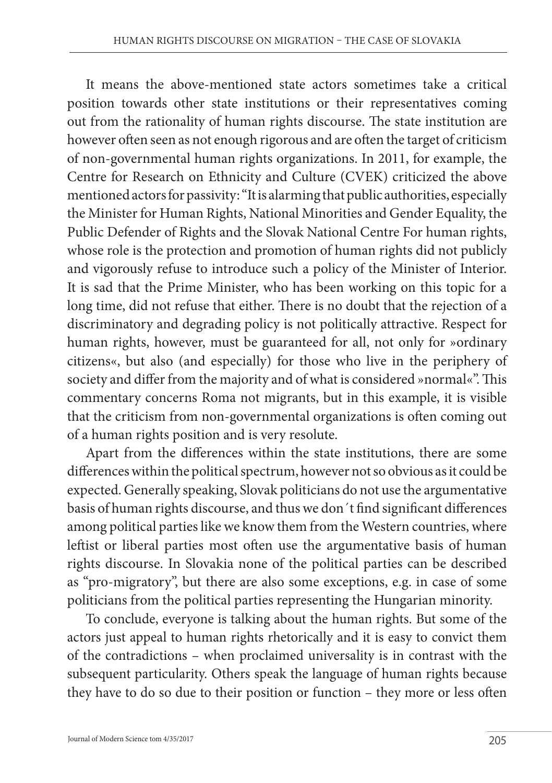It means the above-mentioned state actors sometimes take a critical position towards other state institutions or their representatives coming out from the rationality of human rights discourse. The state institution are however often seen as not enough rigorous and are often the target of criticism of non-governmental human rights organizations. In 2011, for example, the Centre for Research on Ethnicity and Culture (CVEK) criticized the above mentioned actors for passivity: "It is alarming that public authorities, especially the Minister for Human Rights, National Minorities and Gender Equality, the Public Defender of Rights and the Slovak National Centre For human rights, whose role is the protection and promotion of human rights did not publicly and vigorously refuse to introduce such a policy of the Minister of Interior. It is sad that the Prime Minister, who has been working on this topic for a long time, did not refuse that either. There is no doubt that the rejection of a discriminatory and degrading policy is not politically attractive. Respect for human rights, however, must be guaranteed for all, not only for »ordinary citizens«, but also (and especially) for those who live in the periphery of society and differ from the majority and of what is considered »normal«". This commentary concerns Roma not migrants, but in this example, it is visible that the criticism from non-governmental organizations is often coming out of a human rights position and is very resolute.

Apart from the differences within the state institutions, there are some differences within the political spectrum, however not so obvious as it could be expected. Generally speaking, Slovak politicians do not use the argumentative basis of human rights discourse, and thus we don´t find significant differences among political parties like we know them from the Western countries, where leftist or liberal parties most often use the argumentative basis of human rights discourse. In Slovakia none of the political parties can be described as "pro-migratory", but there are also some exceptions, e.g. in case of some politicians from the political parties representing the Hungarian minority.

To conclude, everyone is talking about the human rights. But some of the actors just appeal to human rights rhetorically and it is easy to convict them of the contradictions – when proclaimed universality is in contrast with the subsequent particularity. Others speak the language of human rights because they have to do so due to their position or function – they more or less often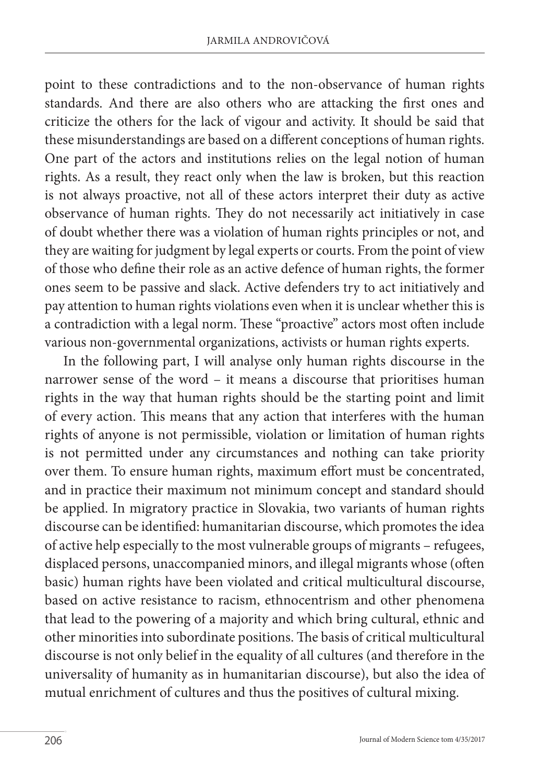point to these contradictions and to the non-observance of human rights standards. And there are also others who are attacking the first ones and criticize the others for the lack of vigour and activity. It should be said that these misunderstandings are based on a different conceptions of human rights. One part of the actors and institutions relies on the legal notion of human rights. As a result, they react only when the law is broken, but this reaction is not always proactive, not all of these actors interpret their duty as active observance of human rights. They do not necessarily act initiatively in case of doubt whether there was a violation of human rights principles or not, and they are waiting for judgment by legal experts or courts. From the point of view of those who define their role as an active defence of human rights, the former ones seem to be passive and slack. Active defenders try to act initiatively and pay attention to human rights violations even when it is unclear whether this is a contradiction with a legal norm. These "proactive" actors most often include various non-governmental organizations, activists or human rights experts.

In the following part, I will analyse only human rights discourse in the narrower sense of the word – it means a discourse that prioritises human rights in the way that human rights should be the starting point and limit of every action. This means that any action that interferes with the human rights of anyone is not permissible, violation or limitation of human rights is not permitted under any circumstances and nothing can take priority over them. To ensure human rights, maximum effort must be concentrated, and in practice their maximum not minimum concept and standard should be applied. In migratory practice in Slovakia, two variants of human rights discourse can be identified: humanitarian discourse, which promotes the idea of active help especially to the most vulnerable groups of migrants – refugees, displaced persons, unaccompanied minors, and illegal migrants whose (often basic) human rights have been violated and critical multicultural discourse, based on active resistance to racism, ethnocentrism and other phenomena that lead to the powering of a majority and which bring cultural, ethnic and other minorities into subordinate positions. The basis of critical multicultural discourse is not only belief in the equality of all cultures (and therefore in the universality of humanity as in humanitarian discourse), but also the idea of mutual enrichment of cultures and thus the positives of cultural mixing.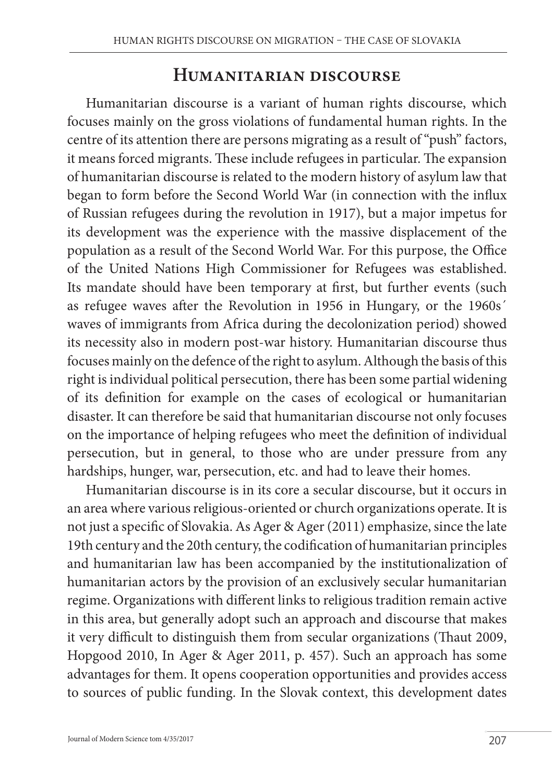### **Humanitarian discourse**

Humanitarian discourse is a variant of human rights discourse, which focuses mainly on the gross violations of fundamental human rights. In the centre of its attention there are persons migrating as a result of "push" factors, it means forced migrants. These include refugees in particular. The expansion of humanitarian discourse is related to the modern history of asylum law that began to form before the Second World War (in connection with the influx of Russian refugees during the revolution in 1917), but a major impetus for its development was the experience with the massive displacement of the population as a result of the Second World War. For this purpose, the Office of the United Nations High Commissioner for Refugees was established. Its mandate should have been temporary at first, but further events (such as refugee waves after the Revolution in 1956 in Hungary, or the 1960s´ waves of immigrants from Africa during the decolonization period) showed its necessity also in modern post-war history. Humanitarian discourse thus focuses mainly on the defence of the right to asylum. Although the basis of this right is individual political persecution, there has been some partial widening of its definition for example on the cases of ecological or humanitarian disaster. It can therefore be said that humanitarian discourse not only focuses on the importance of helping refugees who meet the definition of individual persecution, but in general, to those who are under pressure from any hardships, hunger, war, persecution, etc. and had to leave their homes.

Humanitarian discourse is in its core a secular discourse, but it occurs in an area where various religious-oriented or church organizations operate. It is not just a specific of Slovakia. As Ager & Ager (2011) emphasize, since the late 19th century and the 20th century, the codification of humanitarian principles and humanitarian law has been accompanied by the institutionalization of humanitarian actors by the provision of an exclusively secular humanitarian regime. Organizations with different links to religious tradition remain active in this area, but generally adopt such an approach and discourse that makes it very difficult to distinguish them from secular organizations (Thaut 2009, Hopgood 2010, In Ager & Ager 2011, p. 457). Such an approach has some advantages for them. It opens cooperation opportunities and provides access to sources of public funding. In the Slovak context, this development dates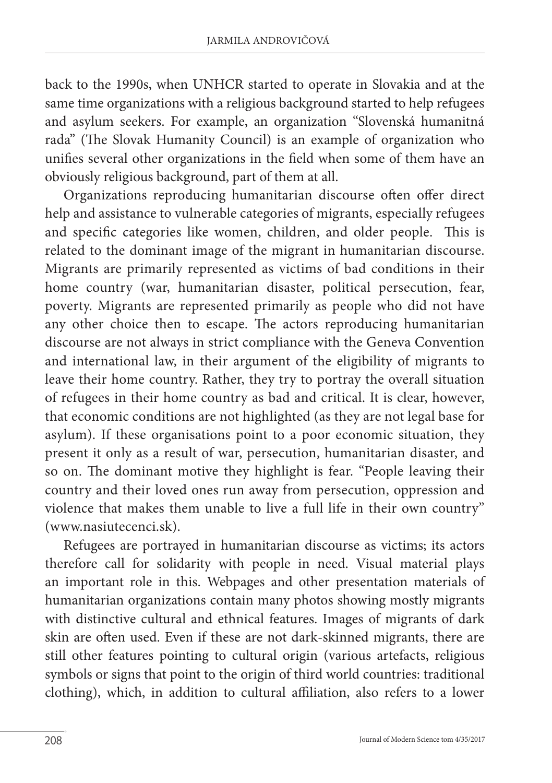back to the 1990s, when UNHCR started to operate in Slovakia and at the same time organizations with a religious background started to help refugees and asylum seekers. For example, an organization "Slovenská humanitná rada" (The Slovak Humanity Council) is an example of organization who unifies several other organizations in the field when some of them have an obviously religious background, part of them at all.

Organizations reproducing humanitarian discourse often offer direct help and assistance to vulnerable categories of migrants, especially refugees and specific categories like women, children, and older people. This is related to the dominant image of the migrant in humanitarian discourse. Migrants are primarily represented as victims of bad conditions in their home country (war, humanitarian disaster, political persecution, fear, poverty. Migrants are represented primarily as people who did not have any other choice then to escape. The actors reproducing humanitarian discourse are not always in strict compliance with the Geneva Convention and international law, in their argument of the eligibility of migrants to leave their home country. Rather, they try to portray the overall situation of refugees in their home country as bad and critical. It is clear, however, that economic conditions are not highlighted (as they are not legal base for asylum). If these organisations point to a poor economic situation, they present it only as a result of war, persecution, humanitarian disaster, and so on. The dominant motive they highlight is fear. "People leaving their country and their loved ones run away from persecution, oppression and violence that makes them unable to live a full life in their own country" (www.nasiutecenci.sk).

Refugees are portrayed in humanitarian discourse as victims; its actors therefore call for solidarity with people in need. Visual material plays an important role in this. Webpages and other presentation materials of humanitarian organizations contain many photos showing mostly migrants with distinctive cultural and ethnical features. Images of migrants of dark skin are often used. Even if these are not dark-skinned migrants, there are still other features pointing to cultural origin (various artefacts, religious symbols or signs that point to the origin of third world countries: traditional clothing), which, in addition to cultural affiliation, also refers to a lower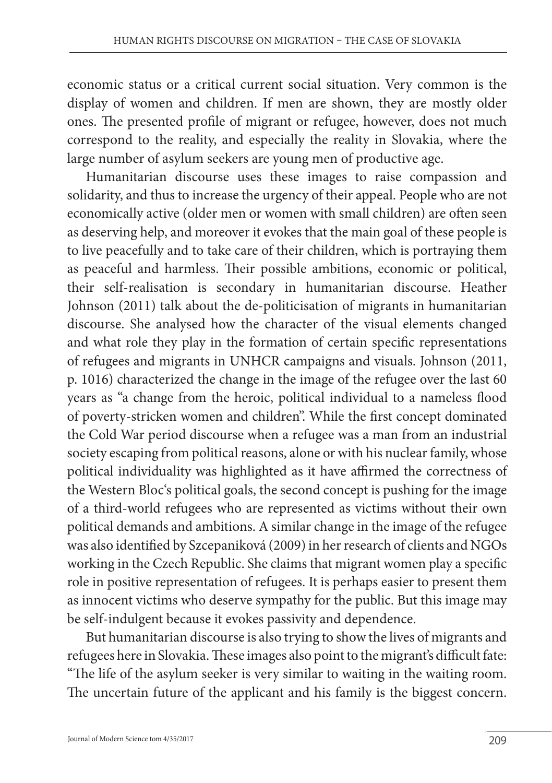economic status or a critical current social situation. Very common is the display of women and children. If men are shown, they are mostly older ones. The presented profile of migrant or refugee, however, does not much correspond to the reality, and especially the reality in Slovakia, where the large number of asylum seekers are young men of productive age.

Humanitarian discourse uses these images to raise compassion and solidarity, and thus to increase the urgency of their appeal. People who are not economically active (older men or women with small children) are often seen as deserving help, and moreover it evokes that the main goal of these people is to live peacefully and to take care of their children, which is portraying them as peaceful and harmless. Their possible ambitions, economic or political, their self-realisation is secondary in humanitarian discourse. Heather Johnson (2011) talk about the de-politicisation of migrants in humanitarian discourse. She analysed how the character of the visual elements changed and what role they play in the formation of certain specific representations of refugees and migrants in UNHCR campaigns and visuals. Johnson (2011, p. 1016) characterized the change in the image of the refugee over the last 60 years as "a change from the heroic, political individual to a nameless flood of poverty-stricken women and children". While the first concept dominated the Cold War period discourse when a refugee was a man from an industrial society escaping from political reasons, alone or with his nuclear family, whose political individuality was highlighted as it have affirmed the correctness of the Western Bloc's political goals, the second concept is pushing for the image of a third-world refugees who are represented as victims without their own political demands and ambitions. A similar change in the image of the refugee was also identified by Szcepaniková (2009) in her research of clients and NGOs working in the Czech Republic. She claims that migrant women play a specific role in positive representation of refugees. It is perhaps easier to present them as innocent victims who deserve sympathy for the public. But this image may be self-indulgent because it evokes passivity and dependence.

But humanitarian discourse is also trying to show the lives of migrants and refugees here in Slovakia. These images also point to the migrant's difficult fate: "The life of the asylum seeker is very similar to waiting in the waiting room. The uncertain future of the applicant and his family is the biggest concern.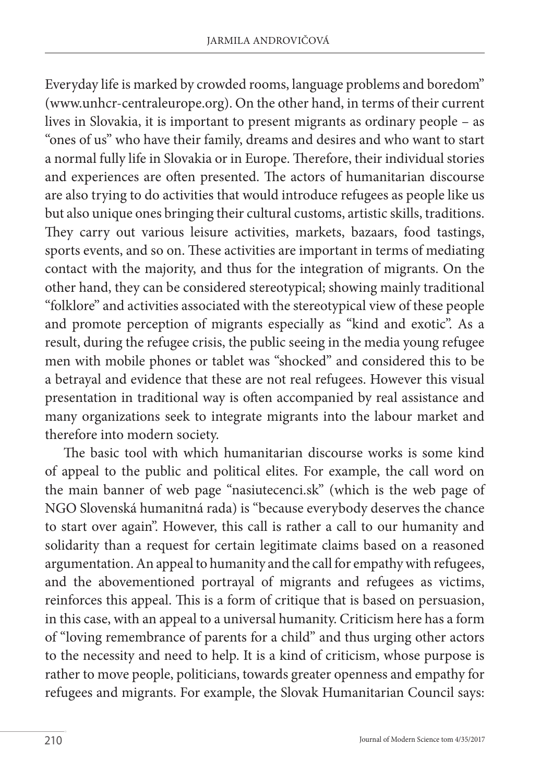Everyday life is marked by crowded rooms, language problems and boredom" (www.unhcr-centraleurope.org). On the other hand, in terms of their current lives in Slovakia, it is important to present migrants as ordinary people – as "ones of us" who have their family, dreams and desires and who want to start a normal fully life in Slovakia or in Europe. Therefore, their individual stories and experiences are often presented. The actors of humanitarian discourse are also trying to do activities that would introduce refugees as people like us but also unique ones bringing their cultural customs, artistic skills, traditions. They carry out various leisure activities, markets, bazaars, food tastings, sports events, and so on. These activities are important in terms of mediating contact with the majority, and thus for the integration of migrants. On the other hand, they can be considered stereotypical; showing mainly traditional "folklore" and activities associated with the stereotypical view of these people and promote perception of migrants especially as "kind and exotic". As a result, during the refugee crisis, the public seeing in the media young refugee men with mobile phones or tablet was "shocked" and considered this to be a betrayal and evidence that these are not real refugees. However this visual presentation in traditional way is often accompanied by real assistance and many organizations seek to integrate migrants into the labour market and therefore into modern society.

The basic tool with which humanitarian discourse works is some kind of appeal to the public and political elites. For example, the call word on the main banner of web page "nasiutecenci.sk" (which is the web page of NGO Slovenská humanitná rada) is "because everybody deserves the chance to start over again". However, this call is rather a call to our humanity and solidarity than a request for certain legitimate claims based on a reasoned argumentation. An appeal to humanity and the call for empathy with refugees, and the abovementioned portrayal of migrants and refugees as victims, reinforces this appeal. This is a form of critique that is based on persuasion, in this case, with an appeal to a universal humanity. Criticism here has a form of "loving remembrance of parents for a child" and thus urging other actors to the necessity and need to help. It is a kind of criticism, whose purpose is rather to move people, politicians, towards greater openness and empathy for refugees and migrants. For example, the Slovak Humanitarian Council says: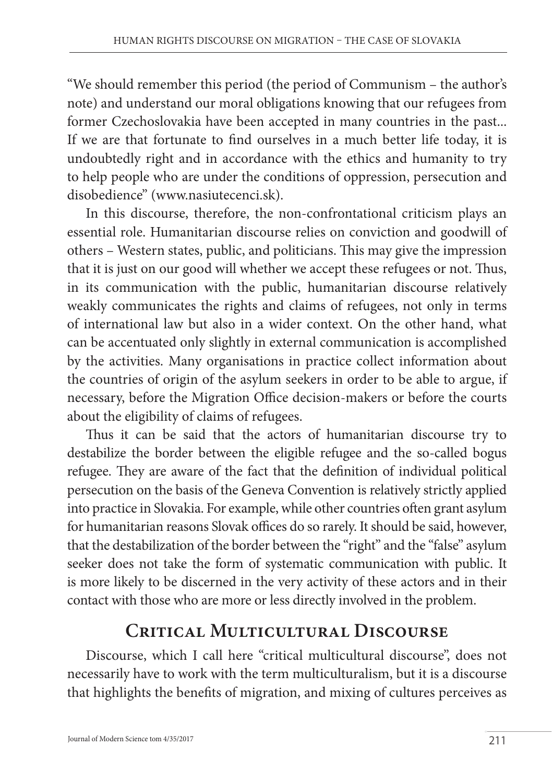"We should remember this period (the period of Communism – the author's note) and understand our moral obligations knowing that our refugees from former Czechoslovakia have been accepted in many countries in the past... If we are that fortunate to find ourselves in a much better life today, it is undoubtedly right and in accordance with the ethics and humanity to try to help people who are under the conditions of oppression, persecution and disobedience" (www.nasiutecenci.sk).

In this discourse, therefore, the non-confrontational criticism plays an essential role. Humanitarian discourse relies on conviction and goodwill of others – Western states, public, and politicians. This may give the impression that it is just on our good will whether we accept these refugees or not. Thus, in its communication with the public, humanitarian discourse relatively weakly communicates the rights and claims of refugees, not only in terms of international law but also in a wider context. On the other hand, what can be accentuated only slightly in external communication is accomplished by the activities. Many organisations in practice collect information about the countries of origin of the asylum seekers in order to be able to argue, if necessary, before the Migration Office decision-makers or before the courts about the eligibility of claims of refugees.

Thus it can be said that the actors of humanitarian discourse try to destabilize the border between the eligible refugee and the so-called bogus refugee. They are aware of the fact that the definition of individual political persecution on the basis of the Geneva Convention is relatively strictly applied into practice in Slovakia. For example, while other countries often grant asylum for humanitarian reasons Slovak offices do so rarely. It should be said, however, that the destabilization of the border between the "right" and the "false" asylum seeker does not take the form of systematic communication with public. It is more likely to be discerned in the very activity of these actors and in their contact with those who are more or less directly involved in the problem.

## **Critical Multicultural Discourse**

Discourse, which I call here "critical multicultural discourse", does not necessarily have to work with the term multiculturalism, but it is a discourse that highlights the benefits of migration, and mixing of cultures perceives as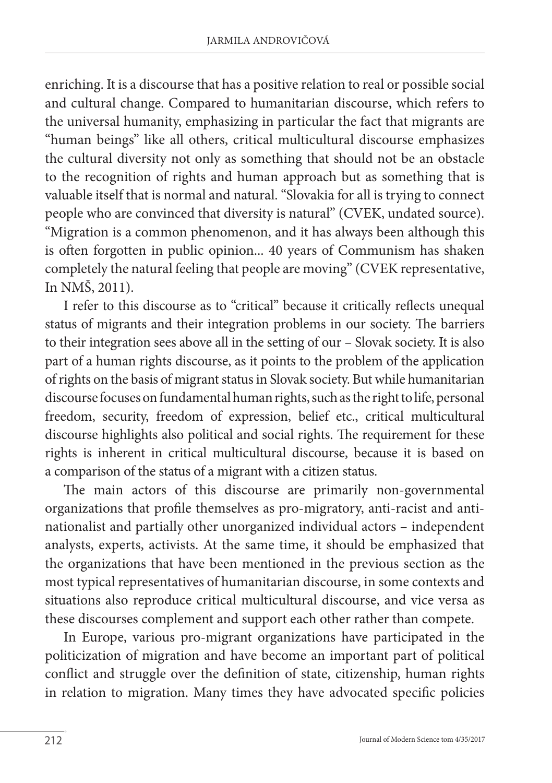enriching. It is a discourse that has a positive relation to real or possible social and cultural change. Compared to humanitarian discourse, which refers to the universal humanity, emphasizing in particular the fact that migrants are "human beings" like all others, critical multicultural discourse emphasizes the cultural diversity not only as something that should not be an obstacle to the recognition of rights and human approach but as something that is valuable itself that is normal and natural. "Slovakia for all is trying to connect people who are convinced that diversity is natural" (CVEK, undated source). "Migration is a common phenomenon, and it has always been although this is often forgotten in public opinion... 40 years of Communism has shaken completely the natural feeling that people are moving" (CVEK representative, In NMŠ, 2011).

I refer to this discourse as to "critical" because it critically reflects unequal status of migrants and their integration problems in our society. The barriers to their integration sees above all in the setting of our – Slovak society. It is also part of a human rights discourse, as it points to the problem of the application of rights on the basis of migrant status in Slovak society. But while humanitarian discourse focuses on fundamental human rights, such as the right to life, personal freedom, security, freedom of expression, belief etc., critical multicultural discourse highlights also political and social rights. The requirement for these rights is inherent in critical multicultural discourse, because it is based on a comparison of the status of a migrant with a citizen status.

The main actors of this discourse are primarily non-governmental organizations that profile themselves as pro-migratory, anti-racist and antinationalist and partially other unorganized individual actors – independent analysts, experts, activists. At the same time, it should be emphasized that the organizations that have been mentioned in the previous section as the most typical representatives of humanitarian discourse, in some contexts and situations also reproduce critical multicultural discourse, and vice versa as these discourses complement and support each other rather than compete.

In Europe, various pro-migrant organizations have participated in the politicization of migration and have become an important part of political conflict and struggle over the definition of state, citizenship, human rights in relation to migration. Many times they have advocated specific policies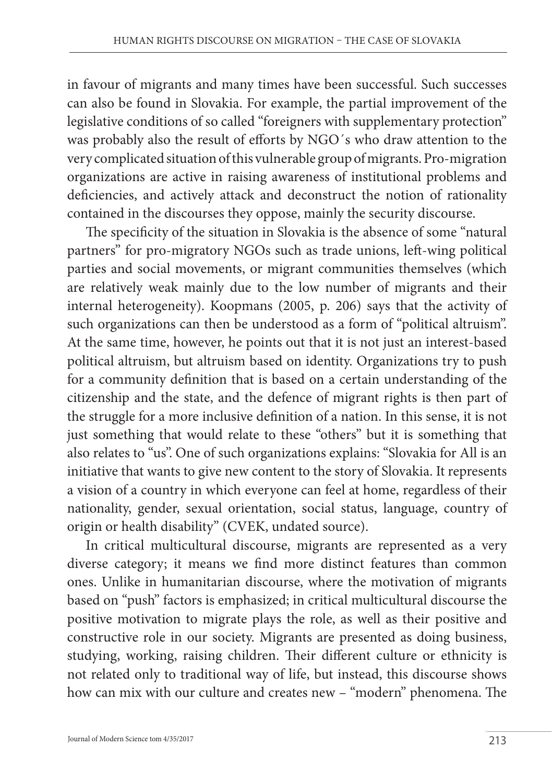in favour of migrants and many times have been successful. Such successes can also be found in Slovakia. For example, the partial improvement of the legislative conditions of so called "foreigners with supplementary protection" was probably also the result of efforts by NGO´s who draw attention to the very complicated situation of this vulnerable group of migrants. Pro-migration organizations are active in raising awareness of institutional problems and deficiencies, and actively attack and deconstruct the notion of rationality contained in the discourses they oppose, mainly the security discourse.

The specificity of the situation in Slovakia is the absence of some "natural partners" for pro-migratory NGOs such as trade unions, left-wing political parties and social movements, or migrant communities themselves (which are relatively weak mainly due to the low number of migrants and their internal heterogeneity). Koopmans (2005, p. 206) says that the activity of such organizations can then be understood as a form of "political altruism". At the same time, however, he points out that it is not just an interest-based political altruism, but altruism based on identity. Organizations try to push for a community definition that is based on a certain understanding of the citizenship and the state, and the defence of migrant rights is then part of the struggle for a more inclusive definition of a nation. In this sense, it is not just something that would relate to these "others" but it is something that also relates to "us". One of such organizations explains: "Slovakia for All is an initiative that wants to give new content to the story of Slovakia. It represents a vision of a country in which everyone can feel at home, regardless of their nationality, gender, sexual orientation, social status, language, country of origin or health disability" (CVEK, undated source).

In critical multicultural discourse, migrants are represented as a very diverse category; it means we find more distinct features than common ones. Unlike in humanitarian discourse, where the motivation of migrants based on "push" factors is emphasized; in critical multicultural discourse the positive motivation to migrate plays the role, as well as their positive and constructive role in our society. Migrants are presented as doing business, studying, working, raising children. Their different culture or ethnicity is not related only to traditional way of life, but instead, this discourse shows how can mix with our culture and creates new – "modern" phenomena. The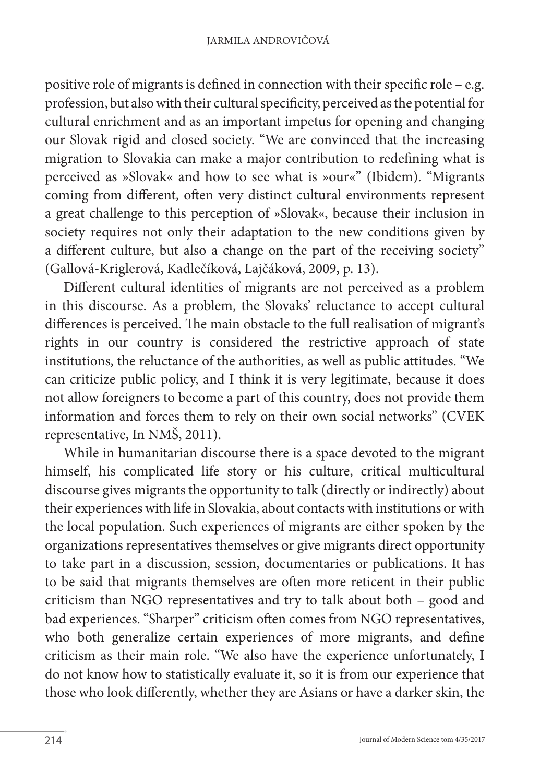positive role of migrants is defined in connection with their specific role – e.g. profession, but also with their cultural specificity, perceived as the potential for cultural enrichment and as an important impetus for opening and changing our Slovak rigid and closed society. "We are convinced that the increasing migration to Slovakia can make a major contribution to redefining what is perceived as »Slovak« and how to see what is »our«" (Ibidem). "Migrants coming from different, often very distinct cultural environments represent a great challenge to this perception of »Slovak«, because their inclusion in society requires not only their adaptation to the new conditions given by a different culture, but also a change on the part of the receiving society" (Gallová-Kriglerová, Kadlečíková, Lajčáková, 2009, p. 13).

Different cultural identities of migrants are not perceived as a problem in this discourse. As a problem, the Slovaks' reluctance to accept cultural differences is perceived. The main obstacle to the full realisation of migrant's rights in our country is considered the restrictive approach of state institutions, the reluctance of the authorities, as well as public attitudes. "We can criticize public policy, and I think it is very legitimate, because it does not allow foreigners to become a part of this country, does not provide them information and forces them to rely on their own social networks" (CVEK representative, In NMŠ, 2011).

While in humanitarian discourse there is a space devoted to the migrant himself, his complicated life story or his culture, critical multicultural discourse gives migrants the opportunity to talk (directly or indirectly) about their experiences with life in Slovakia, about contacts with institutions or with the local population. Such experiences of migrants are either spoken by the organizations representatives themselves or give migrants direct opportunity to take part in a discussion, session, documentaries or publications. It has to be said that migrants themselves are often more reticent in their public criticism than NGO representatives and try to talk about both – good and bad experiences. "Sharper" criticism often comes from NGO representatives, who both generalize certain experiences of more migrants, and define criticism as their main role. "We also have the experience unfortunately, I do not know how to statistically evaluate it, so it is from our experience that those who look differently, whether they are Asians or have a darker skin, the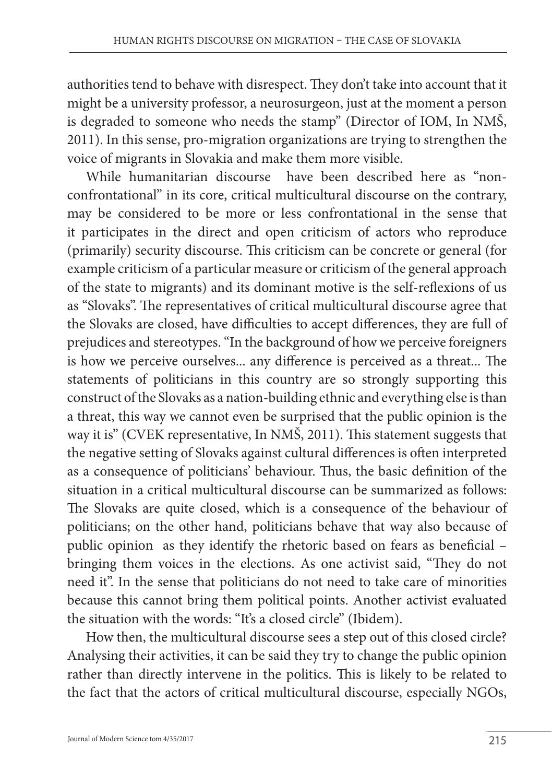authorities tend to behave with disrespect. They don't take into account that it might be a university professor, a neurosurgeon, just at the moment a person is degraded to someone who needs the stamp" (Director of IOM, In NMŠ, 2011). In this sense, pro-migration organizations are trying to strengthen the voice of migrants in Slovakia and make them more visible.

While humanitarian discourse have been described here as "nonconfrontational" in its core, critical multicultural discourse on the contrary, may be considered to be more or less confrontational in the sense that it participates in the direct and open criticism of actors who reproduce (primarily) security discourse. This criticism can be concrete or general (for example criticism of a particular measure or criticism of the general approach of the state to migrants) and its dominant motive is the self-reflexions of us as "Slovaks". The representatives of critical multicultural discourse agree that the Slovaks are closed, have difficulties to accept differences, they are full of prejudices and stereotypes. "In the background of how we perceive foreigners is how we perceive ourselves... any difference is perceived as a threat... The statements of politicians in this country are so strongly supporting this construct of the Slovaks as a nation-building ethnic and everything else is than a threat, this way we cannot even be surprised that the public opinion is the way it is" (CVEK representative, In NMŠ, 2011). This statement suggests that the negative setting of Slovaks against cultural differences is often interpreted as a consequence of politicians' behaviour. Thus, the basic definition of the situation in a critical multicultural discourse can be summarized as follows: The Slovaks are quite closed, which is a consequence of the behaviour of politicians; on the other hand, politicians behave that way also because of public opinion as they identify the rhetoric based on fears as beneficial – bringing them voices in the elections. As one activist said, "They do not need it". In the sense that politicians do not need to take care of minorities because this cannot bring them political points. Another activist evaluated the situation with the words: "It's a closed circle" (Ibidem).

How then, the multicultural discourse sees a step out of this closed circle? Analysing their activities, it can be said they try to change the public opinion rather than directly intervene in the politics. This is likely to be related to the fact that the actors of critical multicultural discourse, especially NGOs,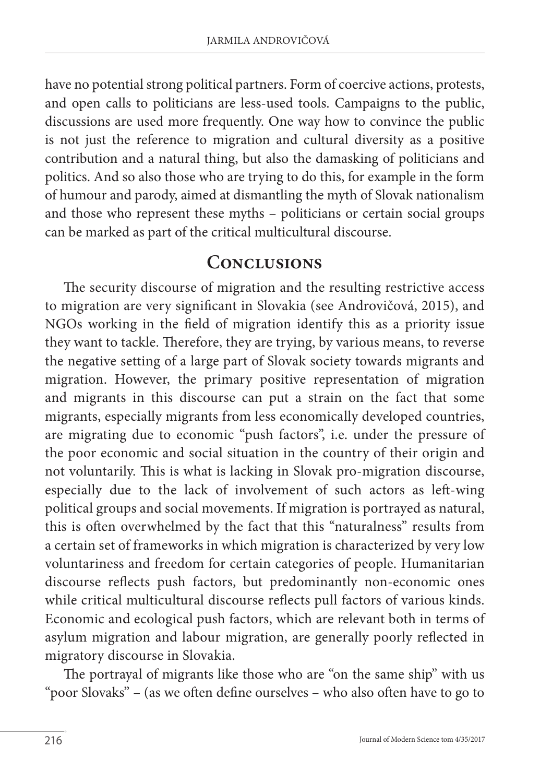have no potential strong political partners. Form of coercive actions, protests, and open calls to politicians are less-used tools. Campaigns to the public, discussions are used more frequently. One way how to convince the public is not just the reference to migration and cultural diversity as a positive contribution and a natural thing, but also the damasking of politicians and politics. And so also those who are trying to do this, for example in the form of humour and parody, aimed at dismantling the myth of Slovak nationalism and those who represent these myths – politicians or certain social groups can be marked as part of the critical multicultural discourse.

#### **Conclusions**

The security discourse of migration and the resulting restrictive access to migration are very significant in Slovakia (see Androvičová, 2015), and NGOs working in the field of migration identify this as a priority issue they want to tackle. Therefore, they are trying, by various means, to reverse the negative setting of a large part of Slovak society towards migrants and migration. However, the primary positive representation of migration and migrants in this discourse can put a strain on the fact that some migrants, especially migrants from less economically developed countries, are migrating due to economic "push factors", i.e. under the pressure of the poor economic and social situation in the country of their origin and not voluntarily. This is what is lacking in Slovak pro-migration discourse, especially due to the lack of involvement of such actors as left-wing political groups and social movements. If migration is portrayed as natural, this is often overwhelmed by the fact that this "naturalness" results from a certain set of frameworks in which migration is characterized by very low voluntariness and freedom for certain categories of people. Humanitarian discourse reflects push factors, but predominantly non-economic ones while critical multicultural discourse reflects pull factors of various kinds. Economic and ecological push factors, which are relevant both in terms of asylum migration and labour migration, are generally poorly reflected in migratory discourse in Slovakia.

The portrayal of migrants like those who are "on the same ship" with us "poor Slovaks" – (as we often define ourselves – who also often have to go to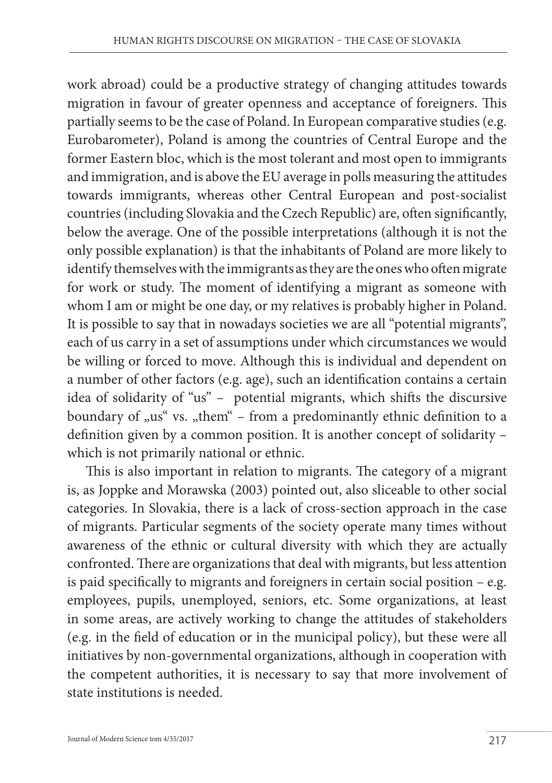work abroad) could be a productive strategy of changing attitudes towards migration in favour of greater openness and acceptance of foreigners. This partially seems to be the case of Poland. In European comparative studies (e.g. Eurobarometer), Poland is among the countries of Central Europe and the former Eastern bloc, which is the most tolerant and most open to immigrants and immigration, and is above the EU average in polls measuring the attitudes towards immigrants, whereas other Central European and post-socialist countries (including Slovakia and the Czech Republic) are, often significantly, below the average. One of the possible interpretations (although it is not the only possible explanation) is that the inhabitants of Poland are more likely to identify themselves with the immigrants as they are the ones who often migrate for work or study. The moment of identifying a migrant as someone with whom I am or might be one day, or my relatives is probably higher in Poland. It is possible to say that in nowadays societies we are all "potential migrants", each of us carry in a set of assumptions under which circumstances we would be willing or forced to move. Although this is individual and dependent on a number of other factors (e.g. age), such an identification contains a certain idea of solidarity of "us" – potential migrants, which shifts the discursive boundary of "us" vs. "them" – from a predominantly ethnic definition to a definition given by a common position. It is another concept of solidarity – which is not primarily national or ethnic.

This is also important in relation to migrants. The category of a migrant is, as Joppke and Morawska (2003) pointed out, also sliceable to other social categories. In Slovakia, there is a lack of cross-section approach in the case of migrants. Particular segments of the society operate many times without awareness of the ethnic or cultural diversity with which they are actually confronted. There are organizations that deal with migrants, but less attention is paid specifically to migrants and foreigners in certain social position – e.g. employees, pupils, unemployed, seniors, etc. Some organizations, at least in some areas, are actively working to change the attitudes of stakeholders (e.g. in the field of education or in the municipal policy), but these were all initiatives by non-governmental organizations, although in cooperation with the competent authorities, it is necessary to say that more involvement of state institutions is needed.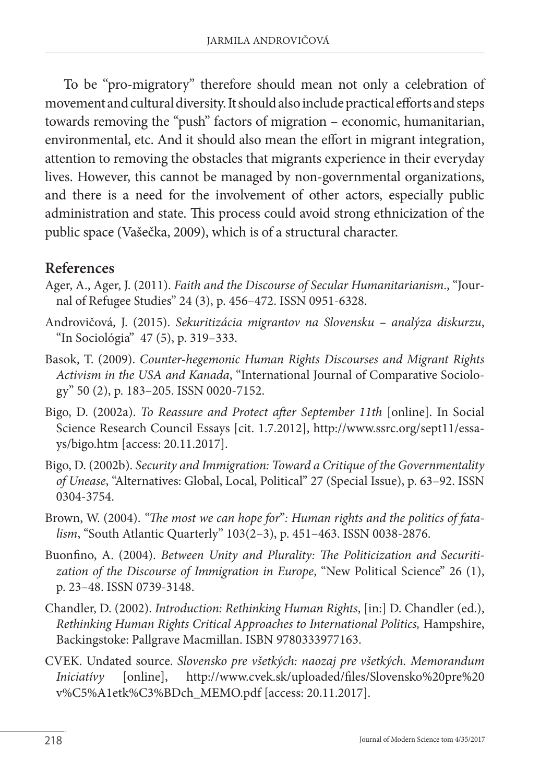To be "pro-migratory" therefore should mean not only a celebration of movement and cultural diversity. It should also include practical efforts and steps towards removing the "push" factors of migration – economic, humanitarian, environmental, etc. And it should also mean the effort in migrant integration, attention to removing the obstacles that migrants experience in their everyday lives. However, this cannot be managed by non-governmental organizations, and there is a need for the involvement of other actors, especially public administration and state. This process could avoid strong ethnicization of the public space (Vašečka, 2009), which is of a structural character.

#### **References**

- Ager, A., Ager, J. (2011). *Faith and the Discourse of Secular Humanitarianism*., "Journal of Refugee Studies" 24 (3), p. 456–472. ISSN 0951-6328.
- Androvičová, J. (2015). *Sekuritizácia migrantov na Slovensku analýza diskurzu*, "In Sociológia" 47 (5), p. 319–333.
- Basok, T. (2009). *Counter-hegemonic Human Rights Discourses and Migrant Rights Activism in the USA and Kanada*, "International Journal of Comparative Sociology" 50 (2), p. 183–205. ISSN 0020-7152.
- Bigo, D. (2002a). *To Reassure and Protect after September 11th* [online]. In Social Science Research Council Essays [cit. 1.7.2012], http://www.ssrc.org/sept11/essays/bigo.htm [access: 20.11.2017].
- Bigo, D. (2002b). *Security and Immigration: Toward a Critique of the Governmentality of Unease*, "Alternatives: Global, Local, Political" 27 (Special Issue), p. 63–92. ISSN 0304-3754.
- Brown, W. (2004). *"The most we can hope for*"*: Human rights and the politics of fatalism*, "South Atlantic Quarterly" 103(2–3), p. 451–463. ISSN 0038-2876.
- Buonfino, A. (2004). *Between Unity and Plurality: The Politicization and Securiti*zation of the Discourse of Immigration in Europe, "New Political Science" 26 (1), p. 23–48. ISSN 0739-3148.
- Chandler, D. (2002). *Introduction: Rethinking Human Rights*, [in:] D. Chandler (ed.), *Rethinking Human Rights Critical Approaches to International Politics,* Hampshire, Backingstoke: Pallgrave Macmillan. ISBN 9780333977163.
- CVEK. Undated source. *Slovensko pre všetkých: naozaj pre všetkých. Memorandum Iniciatívy* [online], http://www.cvek.sk/uploaded/files/Slovensko%20pre%20 v%C5%A1etk%C3%BDch\_MEMO.pdf [access: 20.11.2017].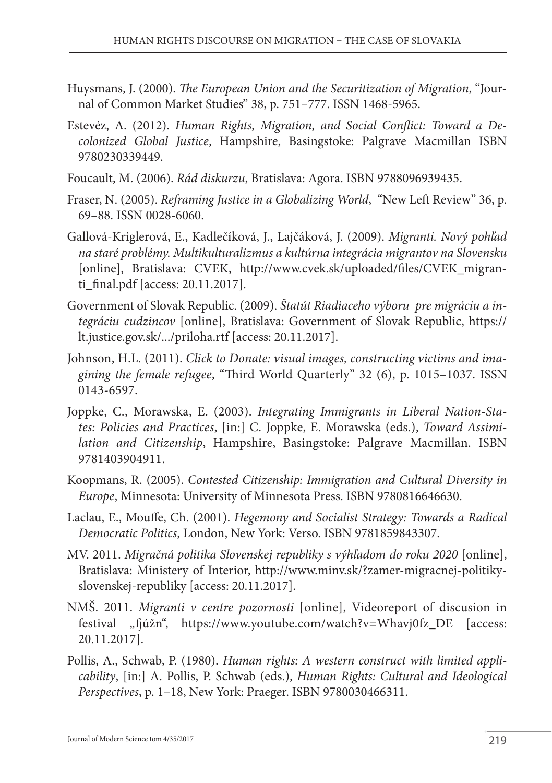- Huysmans, J. (2000). *The European Union and the Securitization of Migration*, "Journal of Common Market Studies" 38, p. 751–777. ISSN 1468-5965.
- Estevéz, A. (2012). *Human Rights, Migration, and Social Conflict: Toward a Decolonized Global Justice*, Hampshire, Basingstoke: Palgrave Macmillan ISBN 9780230339449.
- Foucault, M. (2006). *Rád diskurzu*, Bratislava: Agora. ISBN 9788096939435.
- Fraser, N. (2005). *Reframing Justice in a Globalizing World*, "New Left Review" 36, p. 69–88. ISSN 0028-6060.
- Gallová-Kriglerová, E., Kadlečíková, J., Lajčáková, J. (2009). *Migranti. Nový pohľad na staré problémy. Multikulturalizmus a kultúrna integrácia migrantov na Slovensku* [online], Bratislava: CVEK, http://www.cvek.sk/uploaded/files/CVEK\_migranti\_final.pdf [access: 20.11.2017].
- Government of Slovak Republic. (2009). *Štatút Riadiaceho výboru pre migráciu a integráciu cudzincov* [online], Bratislava: Government of Slovak Republic, https:// lt.justice.gov.sk/.../priloha.rtf [access: 20.11.2017].
- Johnson, H.L. (2011). *Click to Donate: visual images, constructing victims and imagining the female refugee*, "Third World Quarterly" 32 (6), p. 1015–1037. ISSN 0143-6597.
- Joppke, C., Morawska, E. (2003). *Integrating Immigrants in Liberal Nation-States: Policies and Practices*, [in:] C. Joppke, E. Morawska (eds.), *Toward Assimilation and Citizenship*, Hampshire, Basingstoke: Palgrave Macmillan. ISBN 9781403904911.
- Koopmans, R. (2005). *Contested Citizenship: Immigration and Cultural Diversity in Europe*, Minnesota: University of Minnesota Press. ISBN 9780816646630.
- Laclau, E., Mouffe, Ch. (2001). *Hegemony and Socialist Strategy: Towards a Radical Democratic Politics*, London, New York: Verso. ISBN 9781859843307.
- MV. 2011. *Migračná politika Slovenskej republiky s výhľadom do roku 2020* [online], Bratislava: Ministery of Interior, http://www.minv.sk/?zamer-migracnej-politikyslovenskej-republiky [access: 20.11.2017].
- NMŠ. 2011. *Migranti v centre pozornosti* [online], Videoreport of discusion in festival "fjúžn", https://www.youtube.com/watch?v=Whavj0fz\_DE [access: 20.11.2017].
- Pollis, A., Schwab, P. (1980). *Human rights: A western construct with limited applicability*, [in:] A. Pollis, P. Schwab (eds.), *Human Rights: Cultural and Ideological Perspectives*, p. 1–18, New York: Praeger. ISBN 9780030466311.